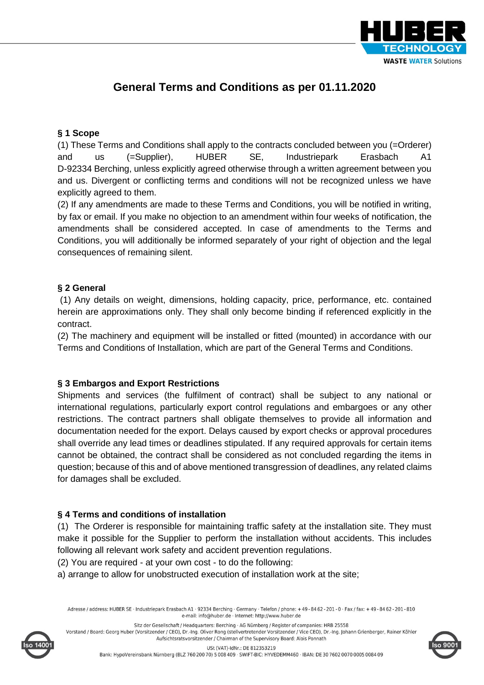

# **General Terms and Conditions as per 01.11.2020**

#### **§ 1 Scope**

(1) These Terms and Conditions shall apply to the contracts concluded between you (=Orderer) and us (=Supplier), HUBER SE, Industriepark Erasbach A1 D-92334 Berching, unless explicitly agreed otherwise through a written agreement between you and us. Divergent or conflicting terms and conditions will not be recognized unless we have explicitly agreed to them.

(2) If any amendments are made to these Terms and Conditions, you will be notified in writing, by fax or email. If you make no objection to an amendment within four weeks of notification, the amendments shall be considered accepted. In case of amendments to the Terms and Conditions, you will additionally be informed separately of your right of objection and the legal consequences of remaining silent.

#### **§ 2 General**

(1) Any details on weight, dimensions, holding capacity, price, performance, etc. contained herein are approximations only. They shall only become binding if referenced explicitly in the contract.

(2) The machinery and equipment will be installed or fitted (mounted) in accordance with our Terms and Conditions of Installation, which are part of the General Terms and Conditions.

# **§ 3 Embargos and Export Restrictions**

Shipments and services (the fulfilment of contract) shall be subject to any national or international regulations, particularly export control regulations and embargoes or any other restrictions. The contract partners shall obligate themselves to provide all information and documentation needed for the export. Delays caused by export checks or approval procedures shall override any lead times or deadlines stipulated. If any required approvals for certain items cannot be obtained, the contract shall be considered as not concluded regarding the items in question; because of this and of above mentioned transgression of deadlines, any related claims for damages shall be excluded.

#### **§ 4 Terms and conditions of installation**

(1) The Orderer is responsible for maintaining traffic safety at the installation site. They must make it possible for the Supplier to perform the installation without accidents. This includes following all relevant work safety and accident prevention regulations.

(2) You are required - at your own cost - to do the following:

a) arrange to allow for unobstructed execution of installation work at the site;

Adresse / address: HUBER SE · Industriepark Erasbach A1 · 92334 Berching · Germany · Telefon / phone: +49-8462-201-0 · Fax / fax: +49-8462-201-810 e-mail: info@huber.de · Internet: http://www.huber.de

Sitz der Gesellschaft / Headquarters: Berching · AG Nürnberg / Register of companies: HRB 25558 Vorstand / Board: Georg Huber (Vorsitzender / CEO), Dr.-Ing. Oliver Rong (stellvertretender Vorsitzender / Vice CEO), Dr.-Ing. Johann Grienberger, Rainer Köhler Aufsichtsratsvorsitzender / Chairman of the Supervisory Board: Alois Ponnath





USt (VAT)-IdNr.: DE 812353219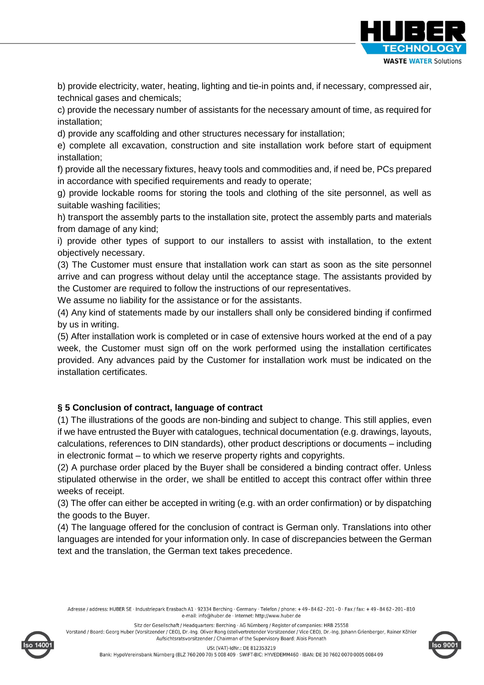

b) provide electricity, water, heating, lighting and tie-in points and, if necessary, compressed air, technical gases and chemicals;

c) provide the necessary number of assistants for the necessary amount of time, as required for installation;

d) provide any scaffolding and other structures necessary for installation;

e) complete all excavation, construction and site installation work before start of equipment installation;

f) provide all the necessary fixtures, heavy tools and commodities and, if need be, PCs prepared in accordance with specified requirements and ready to operate;

g) provide lockable rooms for storing the tools and clothing of the site personnel, as well as suitable washing facilities;

h) transport the assembly parts to the installation site, protect the assembly parts and materials from damage of any kind;

i) provide other types of support to our installers to assist with installation, to the extent objectively necessary.

(3) The Customer must ensure that installation work can start as soon as the site personnel arrive and can progress without delay until the acceptance stage. The assistants provided by the Customer are required to follow the instructions of our representatives.

We assume no liability for the assistance or for the assistants.

(4) Any kind of statements made by our installers shall only be considered binding if confirmed by us in writing.

(5) After installation work is completed or in case of extensive hours worked at the end of a pay week, the Customer must sign off on the work performed using the installation certificates provided. Any advances paid by the Customer for installation work must be indicated on the installation certificates.

# **§ 5 Conclusion of contract, language of contract**

(1) The illustrations of the goods are non-binding and subject to change. This still applies, even if we have entrusted the Buyer with catalogues, technical documentation (e.g. drawings, layouts, calculations, references to DIN standards), other product descriptions or documents – including in electronic format – to which we reserve property rights and copyrights.

(2) A purchase order placed by the Buyer shall be considered a binding contract offer. Unless stipulated otherwise in the order, we shall be entitled to accept this contract offer within three weeks of receipt.

(3) The offer can either be accepted in writing (e.g. with an order confirmation) or by dispatching the goods to the Buyer.

(4) The language offered for the conclusion of contract is German only. Translations into other languages are intended for your information only. In case of discrepancies between the German text and the translation, the German text takes precedence.

Adresse / address: HUBER SE · Industriepark Erasbach A1 · 92334 Berching · Germany · Telefon / phone: +49-8462-201-0 · Fax / fax: +49-8462-201-810 e-mail: info@huber.de · Internet: http://www.huber.de

Sitz der Gesellschaft / Headquarters: Berching · AG Nürnberg / Register of companies: HRB 25558

Vorstand / Board: Georg Huber (Vorsitzender / CEO), Dr.-Ing. Oliver Rong (stellvertretender Vorsitzender / Vice CEO), Dr.-Ing. Johann Grienberger, Rainer Köhler Aufsichtsratsvorsitzender / Chairman of the Supervisory Board: Alois Ponnath



USt (VAT)-IdNr.: DE 812353219 Bank: HypoVereinsbank Nürnberg (BLZ 760 200 70) 5 008 409 · SWIFT-BIC: HYVEDEMM460 · IBAN: DE 30 7602 0070 0005 0084 09

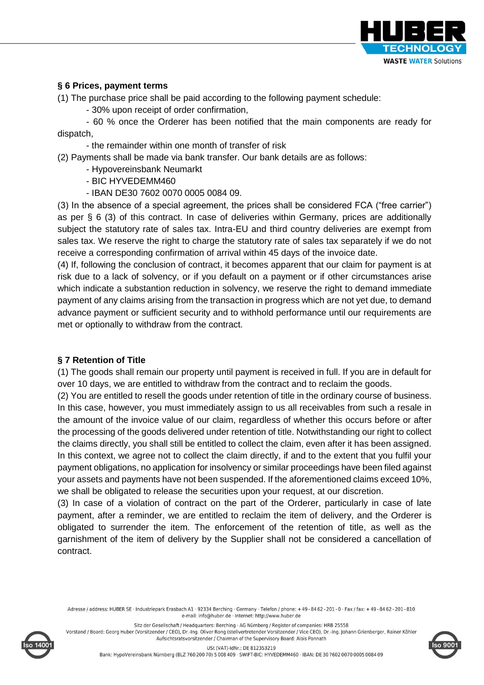

# **§ 6 Prices, payment terms**

(1) The purchase price shall be paid according to the following payment schedule:

- 30% upon receipt of order confirmation,

- 60 % once the Orderer has been notified that the main components are ready for dispatch,

- the remainder within one month of transfer of risk

(2) Payments shall be made via bank transfer. Our bank details are as follows:

- Hypovereinsbank Neumarkt

- BIC HYVEDEMM460

- IBAN DE30 7602 0070 0005 0084 09.

(3) In the absence of a special agreement, the prices shall be considered FCA ("free carrier") as per § 6 (3) of this contract. In case of deliveries within Germany, prices are additionally subject the statutory rate of sales tax. Intra-EU and third country deliveries are exempt from sales tax. We reserve the right to charge the statutory rate of sales tax separately if we do not receive a corresponding confirmation of arrival within 45 days of the invoice date.

(4) If, following the conclusion of contract, it becomes apparent that our claim for payment is at risk due to a lack of solvency, or if you default on a payment or if other circumstances arise which indicate a substantion reduction in solvency, we reserve the right to demand immediate payment of any claims arising from the transaction in progress which are not yet due, to demand advance payment or sufficient security and to withhold performance until our requirements are met or optionally to withdraw from the contract.

# **§ 7 Retention of Title**

(1) The goods shall remain our property until payment is received in full. If you are in default for over 10 days, we are entitled to withdraw from the contract and to reclaim the goods.

(2) You are entitled to resell the goods under retention of title in the ordinary course of business. In this case, however, you must immediately assign to us all receivables from such a resale in the amount of the invoice value of our claim, regardless of whether this occurs before or after the processing of the goods delivered under retention of title. Notwithstanding our right to collect the claims directly, you shall still be entitled to collect the claim, even after it has been assigned. In this context, we agree not to collect the claim directly, if and to the extent that you fulfil your payment obligations, no application for insolvency or similar proceedings have been filed against your assets and payments have not been suspended. If the aforementioned claims exceed 10%, we shall be obligated to release the securities upon your request, at our discretion.

(3) In case of a violation of contract on the part of the Orderer, particularly in case of late payment, after a reminder, we are entitled to reclaim the item of delivery, and the Orderer is obligated to surrender the item. The enforcement of the retention of title, as well as the garnishment of the item of delivery by the Supplier shall not be considered a cancellation of contract.

Adresse / address: HUBER SE · Industriepark Erasbach A1 · 92334 Berching · Germany · Telefon / phone: +49-8462-201-0 · Fax / fax: +49-8462-201-810 e-mail: info@huber.de · Internet: http://www.huber.de

Sitz der Gesellschaft / Headquarters: Berching · AG Nürnberg / Register of companies: HRB 25558 Vorstand / Board: Georg Huber (Vorsitzender / CEO), Dr.-Ing. Oliver Rong (stellvertretender Vorsitzender / Vice CEO), Dr.-Ing. Johann Grienberger, Rainer Köhler Aufsichtsratsvorsitzender / Chairman of the Supervisory Board: Alois Ponnath



USt (VAT)-IdNr.: DE 812353219

Bank: HypoVereinsbank Nürnberg (BLZ 760 200 70) 5 008 409 · SWIFT-BIC: HYVEDEMM460 · IBAN: DE 30 7602 0070 0005 0084 09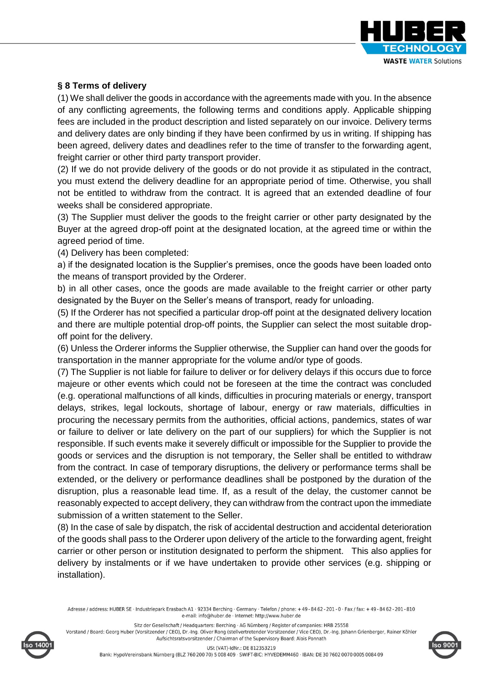

# **§ 8 Terms of delivery**

(1) We shall deliver the goods in accordance with the agreements made with you. In the absence of any conflicting agreements, the following terms and conditions apply. Applicable shipping fees are included in the product description and listed separately on our invoice. Delivery terms and delivery dates are only binding if they have been confirmed by us in writing. If shipping has been agreed, delivery dates and deadlines refer to the time of transfer to the forwarding agent, freight carrier or other third party transport provider.

(2) If we do not provide delivery of the goods or do not provide it as stipulated in the contract, you must extend the delivery deadline for an appropriate period of time. Otherwise, you shall not be entitled to withdraw from the contract. It is agreed that an extended deadline of four weeks shall be considered appropriate.

(3) The Supplier must deliver the goods to the freight carrier or other party designated by the Buyer at the agreed drop-off point at the designated location, at the agreed time or within the agreed period of time.

(4) Delivery has been completed:

a) if the designated location is the Supplier's premises, once the goods have been loaded onto the means of transport provided by the Orderer.

b) in all other cases, once the goods are made available to the freight carrier or other party designated by the Buyer on the Seller's means of transport, ready for unloading.

(5) If the Orderer has not specified a particular drop-off point at the designated delivery location and there are multiple potential drop-off points, the Supplier can select the most suitable dropoff point for the delivery.

(6) Unless the Orderer informs the Supplier otherwise, the Supplier can hand over the goods for transportation in the manner appropriate for the volume and/or type of goods.

(7) The Supplier is not liable for failure to deliver or for delivery delays if this occurs due to force majeure or other events which could not be foreseen at the time the contract was concluded (e.g. operational malfunctions of all kinds, difficulties in procuring materials or energy, transport delays, strikes, legal lockouts, shortage of labour, energy or raw materials, difficulties in procuring the necessary permits from the authorities, official actions, pandemics, states of war or failure to deliver or late delivery on the part of our suppliers) for which the Supplier is not responsible. If such events make it severely difficult or impossible for the Supplier to provide the goods or services and the disruption is not temporary, the Seller shall be entitled to withdraw from the contract. In case of temporary disruptions, the delivery or performance terms shall be extended, or the delivery or performance deadlines shall be postponed by the duration of the disruption, plus a reasonable lead time. If, as a result of the delay, the customer cannot be reasonably expected to accept delivery, they can withdraw from the contract upon the immediate submission of a written statement to the Seller.

(8) In the case of sale by dispatch, the risk of accidental destruction and accidental deterioration of the goods shall pass to the Orderer upon delivery of the article to the forwarding agent, freight carrier or other person or institution designated to perform the shipment. This also applies for delivery by instalments or if we have undertaken to provide other services (e.g. shipping or installation).

Adresse / address: HUBER SE · Industriepark Erasbach A1 · 92334 Berching · Germany · Telefon / phone: +49-8462-201-0 · Fax / fax: +49-8462-201-810 e-mail: info@huber.de · Internet: http://www.huber.de

Sitz der Gesellschaft / Headquarters: Berching · AG Nürnberg / Register of companies: HRB 25558

Vorstand / Board: Georg Huber (Vorsitzender / CEO), Dr.-Ing. Oliver Rong (stellvertretender Vorsitzender / Vice CEO), Dr.-Ing. Johann Grienberger, Rainer Köhler Aufsichtsratsvorsitzender / Chairman of the Supervisory Board: Alois Ponnath





USt (VAT)-IdNr.: DE 812353219

Bank: HypoVereinsbank Nürnberg (BLZ 760 200 70) 5 008 409 · SWIFT-BIC: HYVEDEMM460 · IBAN: DE 30 7602 0070 0005 0084 09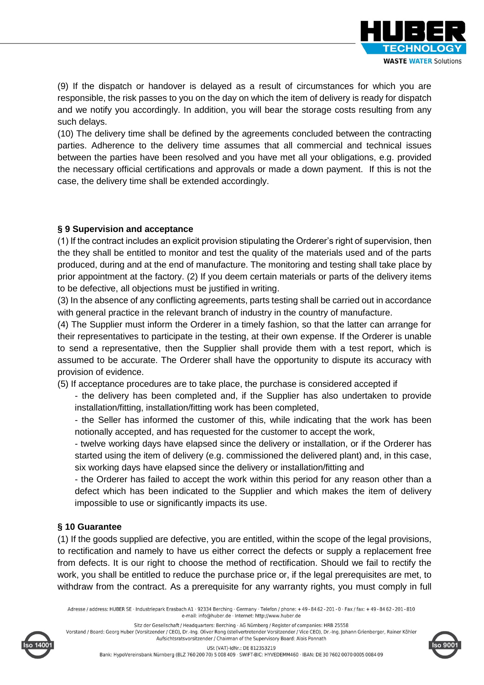

(9) If the dispatch or handover is delayed as a result of circumstances for which you are responsible, the risk passes to you on the day on which the item of delivery is ready for dispatch and we notify you accordingly. In addition, you will bear the storage costs resulting from any such delays.

(10) The delivery time shall be defined by the agreements concluded between the contracting parties. Adherence to the delivery time assumes that all commercial and technical issues between the parties have been resolved and you have met all your obligations, e.g. provided the necessary official certifications and approvals or made a down payment. If this is not the case, the delivery time shall be extended accordingly.

#### **§ 9 Supervision and acceptance**

(1) If the contract includes an explicit provision stipulating the Orderer's right of supervision, then the they shall be entitled to monitor and test the quality of the materials used and of the parts produced, during and at the end of manufacture. The monitoring and testing shall take place by prior appointment at the factory. (2) If you deem certain materials or parts of the delivery items to be defective, all objections must be justified in writing.

(3) In the absence of any conflicting agreements, parts testing shall be carried out in accordance with general practice in the relevant branch of industry in the country of manufacture.

(4) The Supplier must inform the Orderer in a timely fashion, so that the latter can arrange for their representatives to participate in the testing, at their own expense. If the Orderer is unable to send a representative, then the Supplier shall provide them with a test report, which is assumed to be accurate. The Orderer shall have the opportunity to dispute its accuracy with provision of evidence.

(5) If acceptance procedures are to take place, the purchase is considered accepted if

- the delivery has been completed and, if the Supplier has also undertaken to provide installation/fitting, installation/fitting work has been completed,
- the Seller has informed the customer of this, while indicating that the work has been notionally accepted, and has requested for the customer to accept the work,
- twelve working days have elapsed since the delivery or installation, or if the Orderer has started using the item of delivery (e.g. commissioned the delivered plant) and, in this case, six working days have elapsed since the delivery or installation/fitting and

- the Orderer has failed to accept the work within this period for any reason other than a defect which has been indicated to the Supplier and which makes the item of delivery impossible to use or significantly impacts its use.

# **§ 10 Guarantee**

(1) If the goods supplied are defective, you are entitled, within the scope of the legal provisions, to rectification and namely to have us either correct the defects or supply a replacement free from defects. It is our right to choose the method of rectification. Should we fail to rectify the work, you shall be entitled to reduce the purchase price or, if the legal prerequisites are met, to withdraw from the contract. As a prerequisite for any warranty rights, you must comply in full

Adresse / address: HUBER SE · Industriepark Erasbach A1 · 92334 Berching · Germany · Telefon / phone: +49-8462-201-0 · Fax / fax: +49-8462-201-810 e-mail: info@huber.de · Internet: http://www.huber.de

Sitz der Gesellschaft / Headquarters: Berching · AG Nürnberg / Register of companies: HRB 25558

Vorstand / Board: Georg Huber (Vorsitzender / CEO), Dr.-Ing. Oliver Rong (stellvertretender Vorsitzender / Vice CEO), Dr.-Ing. Johann Grienberger, Rainer Köhler Aufsichtsratsvorsitzender / Chairman of the Supervisory Board: Alois Ponnath



USt (VAT)-IdNr.: DE 812353219

Bank: HypoVereinsbank Nürnberg (BLZ 760 200 70) 5 008 409 · SWIFT-BIC: HYVEDEMM460 · IBAN: DE 30 7602 0070 0005 0084 09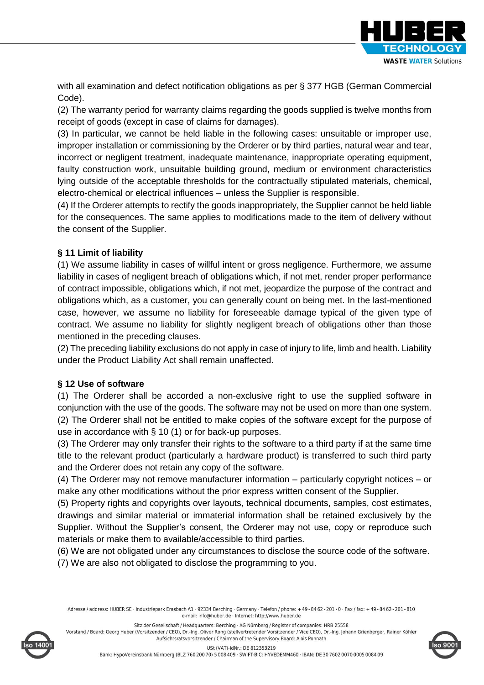

with all examination and defect notification obligations as per § 377 HGB (German Commercial Code).

(2) The warranty period for warranty claims regarding the goods supplied is twelve months from receipt of goods (except in case of claims for damages).

(3) In particular, we cannot be held liable in the following cases: unsuitable or improper use, improper installation or commissioning by the Orderer or by third parties, natural wear and tear, incorrect or negligent treatment, inadequate maintenance, inappropriate operating equipment, faulty construction work, unsuitable building ground, medium or environment characteristics lying outside of the acceptable thresholds for the contractually stipulated materials, chemical, electro-chemical or electrical influences – unless the Supplier is responsible.

(4) If the Orderer attempts to rectify the goods inappropriately, the Supplier cannot be held liable for the consequences. The same applies to modifications made to the item of delivery without the consent of the Supplier.

# **§ 11 Limit of liability**

(1) We assume liability in cases of willful intent or gross negligence. Furthermore, we assume liability in cases of negligent breach of obligations which, if not met, render proper performance of contract impossible, obligations which, if not met, jeopardize the purpose of the contract and obligations which, as a customer, you can generally count on being met. In the last-mentioned case, however, we assume no liability for foreseeable damage typical of the given type of contract. We assume no liability for slightly negligent breach of obligations other than those mentioned in the preceding clauses.

(2) The preceding liability exclusions do not apply in case of injury to life, limb and health. Liability under the Product Liability Act shall remain unaffected.

# **§ 12 Use of software**

(1) The Orderer shall be accorded a non-exclusive right to use the supplied software in conjunction with the use of the goods. The software may not be used on more than one system. (2) The Orderer shall not be entitled to make copies of the software except for the purpose of use in accordance with § 10 (1) or for back-up purposes.

(3) The Orderer may only transfer their rights to the software to a third party if at the same time title to the relevant product (particularly a hardware product) is transferred to such third party and the Orderer does not retain any copy of the software.

(4) The Orderer may not remove manufacturer information – particularly copyright notices – or make any other modifications without the prior express written consent of the Supplier.

(5) Property rights and copyrights over layouts, technical documents, samples, cost estimates, drawings and similar material or immaterial information shall be retained exclusively by the Supplier. Without the Supplier's consent, the Orderer may not use, copy or reproduce such materials or make them to available/accessible to third parties.

(6) We are not obligated under any circumstances to disclose the source code of the software. (7) We are also not obligated to disclose the programming to you.

Adresse / address: HUBER SE · Industriepark Erasbach A1 · 92334 Berching · Germany · Telefon / phone: +49-8462-201-0 · Fax / fax: +49-8462-201-810 e-mail: info@huber.de · Internet: http://www.huber.de

Sitz der Gesellschaft / Headquarters: Berching · AG Nürnberg / Register of companies: HRB 25558

Vorstand / Board: Georg Huber (Vorsitzender / CEO), Dr.-Ing. Oliver Rong (stellvertretender Vorsitzender / Vice CEO), Dr.-Ing. Johann Grienberger, Rainer Köhler Aufsichtsratsvorsitzender / Chairman of the Supervisory Board: Alois Ponnath





USt (VAT)-IdNr.: DE 812353219